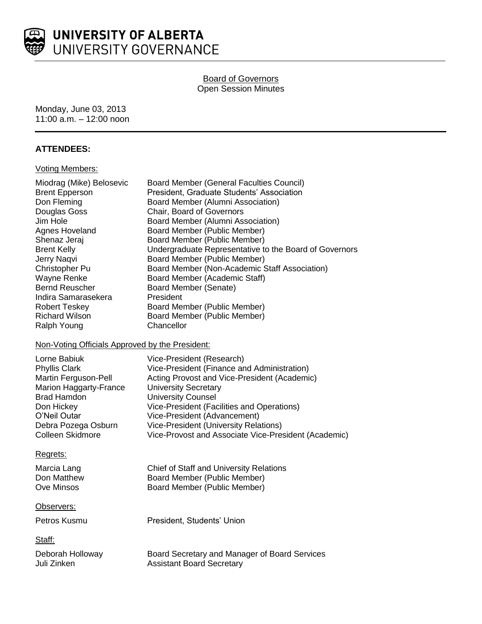

# Board of Governors Open Session Minutes

Monday, June 03, 2013 11:00 a.m. – 12:00 noon

## **ATTENDEES:**

#### Voting Members:

| Miodrag (Mike) Belosevic<br><b>Brent Epperson</b><br>Don Fleming<br>Douglas Goss<br>Jim Hole<br>Agnes Hoveland<br>Shenaz Jeraj<br><b>Brent Kelly</b><br>Jerry Naqvi<br>Christopher Pu<br>Wayne Renke<br><b>Bernd Reuscher</b><br>Indira Samarasekera<br>Robert Teskey<br><b>Richard Wilson</b><br>Ralph Young<br>Non-Voting Officials Approved by the President: | <b>Board Member (General Faculties Council)</b><br>President, Graduate Students' Association<br>Board Member (Alumni Association)<br>Chair, Board of Governors<br>Board Member (Alumni Association)<br>Board Member (Public Member)<br>Board Member (Public Member)<br>Undergraduate Representative to the Board of Governors<br>Board Member (Public Member)<br>Board Member (Non-Academic Staff Association)<br>Board Member (Academic Staff)<br>Board Member (Senate)<br>President<br>Board Member (Public Member)<br>Board Member (Public Member)<br>Chancellor |
|------------------------------------------------------------------------------------------------------------------------------------------------------------------------------------------------------------------------------------------------------------------------------------------------------------------------------------------------------------------|---------------------------------------------------------------------------------------------------------------------------------------------------------------------------------------------------------------------------------------------------------------------------------------------------------------------------------------------------------------------------------------------------------------------------------------------------------------------------------------------------------------------------------------------------------------------|
| Lorne Babiuk<br>Phyllis Clark<br>Martin Ferguson-Pell<br><b>Marion Haggarty-France</b><br><b>Brad Hamdon</b><br>Don Hickey<br>O'Neil Outar<br>Debra Pozega Osburn<br>Colleen Skidmore                                                                                                                                                                            | Vice-President (Research)<br>Vice-President (Finance and Administration)<br>Acting Provost and Vice-President (Academic)<br><b>University Secretary</b><br><b>University Counsel</b><br>Vice-President (Facilities and Operations)<br>Vice-President (Advancement)<br><b>Vice-President (University Relations)</b><br>Vice-Provost and Associate Vice-President (Academic)                                                                                                                                                                                          |
| Regrets:<br>Marcia Lang<br>Don Matthew<br><b>Ove Minsos</b>                                                                                                                                                                                                                                                                                                      | Chief of Staff and University Relations<br>Board Member (Public Member)<br>Board Member (Public Member)                                                                                                                                                                                                                                                                                                                                                                                                                                                             |
| Observers:<br>Petros Kusmu                                                                                                                                                                                                                                                                                                                                       | President, Students' Union                                                                                                                                                                                                                                                                                                                                                                                                                                                                                                                                          |
| Staff:<br>Deborah Holloway<br>Juli Zinken                                                                                                                                                                                                                                                                                                                        | Board Secretary and Manager of Board Services<br><b>Assistant Board Secretary</b>                                                                                                                                                                                                                                                                                                                                                                                                                                                                                   |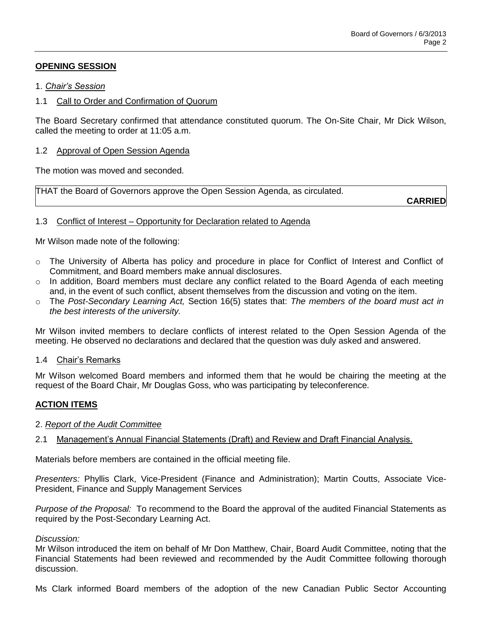# **OPENING SESSION**

## 1. *Chair's Session*

## 1.1 Call to Order and Confirmation of Quorum

The Board Secretary confirmed that attendance constituted quorum. The On-Site Chair, Mr Dick Wilson, called the meeting to order at 11:05 a.m.

### 1.2 Approval of Open Session Agenda

The motion was moved and seconded.

THAT the Board of Governors approve the Open Session Agenda, as circulated.

**CARRIED**

## 1.3 Conflict of Interest – Opportunity for Declaration related to Agenda

Mr Wilson made note of the following:

- o The University of Alberta has policy and procedure in place for Conflict of Interest and Conflict of Commitment, and Board members make annual disclosures.
- o In addition, Board members must declare any conflict related to the Board Agenda of each meeting and, in the event of such conflict, absent themselves from the discussion and voting on the item.
- o The *Post-Secondary Learning Act,* Section 16(5) states that: *The members of the board must act in the best interests of the university.*

Mr Wilson invited members to declare conflicts of interest related to the Open Session Agenda of the meeting. He observed no declarations and declared that the question was duly asked and answered.

#### 1.4 Chair's Remarks

Mr Wilson welcomed Board members and informed them that he would be chairing the meeting at the request of the Board Chair, Mr Douglas Goss, who was participating by teleconference.

# **ACTION ITEMS**

# 2. *Report of the Audit Committee*

2.1 Management's Annual Financial Statements (Draft) and Review and Draft Financial Analysis.

Materials before members are contained in the official meeting file.

*Presenters:* Phyllis Clark, Vice-President (Finance and Administration); Martin Coutts, Associate Vice-President, Finance and Supply Management Services

*Purpose of the Proposal:* To recommend to the Board the approval of the audited Financial Statements as required by the Post-Secondary Learning Act.

#### *Discussion:*

Mr Wilson introduced the item on behalf of Mr Don Matthew, Chair, Board Audit Committee, noting that the Financial Statements had been reviewed and recommended by the Audit Committee following thorough discussion.

Ms Clark informed Board members of the adoption of the new Canadian Public Sector Accounting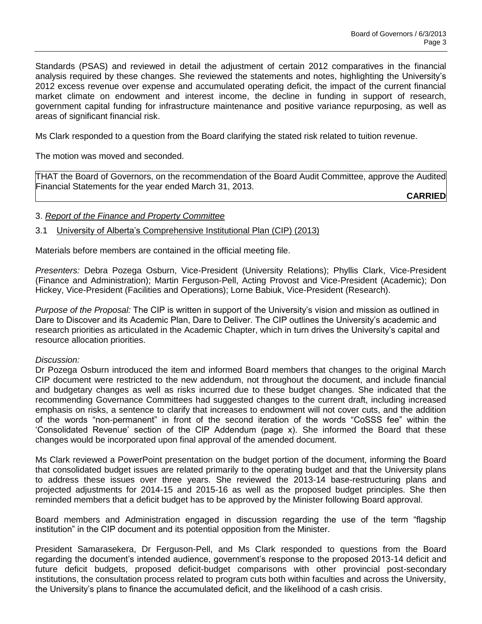Standards (PSAS) and reviewed in detail the adjustment of certain 2012 comparatives in the financial analysis required by these changes. She reviewed the statements and notes, highlighting the University's 2012 excess revenue over expense and accumulated operating deficit, the impact of the current financial market climate on endowment and interest income, the decline in funding in support of research, government capital funding for infrastructure maintenance and positive variance repurposing, as well as areas of significant financial risk.

Ms Clark responded to a question from the Board clarifying the stated risk related to tuition revenue.

The motion was moved and seconded.

THAT the Board of Governors, on the recommendation of the Board Audit Committee, approve the Audited Financial Statements for the year ended March 31, 2013.

**CARRIED**

## 3. *Report of the Finance and Property Committee*

## 3.1 University of Alberta's Comprehensive Institutional Plan (CIP) (2013)

Materials before members are contained in the official meeting file.

*Presenters:* Debra Pozega Osburn, Vice-President (University Relations); Phyllis Clark, Vice-President (Finance and Administration); Martin Ferguson-Pell, Acting Provost and Vice-President (Academic); Don Hickey, Vice-President (Facilities and Operations); Lorne Babiuk, Vice-President (Research).

*Purpose of the Proposal:* The CIP is written in support of the University's vision and mission as outlined in Dare to Discover and its Academic Plan, Dare to Deliver. The CIP outlines the University's academic and research priorities as articulated in the Academic Chapter, which in turn drives the University's capital and resource allocation priorities.

#### *Discussion:*

Dr Pozega Osburn introduced the item and informed Board members that changes to the original March CIP document were restricted to the new addendum, not throughout the document, and include financial and budgetary changes as well as risks incurred due to these budget changes. She indicated that the recommending Governance Committees had suggested changes to the current draft, including increased emphasis on risks, a sentence to clarify that increases to endowment will not cover cuts, and the addition of the words "non-permanent" in front of the second iteration of the words "CoSSS fee" within the 'Consolidated Revenue' section of the CIP Addendum (page x). She informed the Board that these changes would be incorporated upon final approval of the amended document.

Ms Clark reviewed a PowerPoint presentation on the budget portion of the document, informing the Board that consolidated budget issues are related primarily to the operating budget and that the University plans to address these issues over three years. She reviewed the 2013-14 base-restructuring plans and projected adjustments for 2014-15 and 2015-16 as well as the proposed budget principles. She then reminded members that a deficit budget has to be approved by the Minister following Board approval.

Board members and Administration engaged in discussion regarding the use of the term "flagship institution" in the CIP document and its potential opposition from the Minister.

President Samarasekera, Dr Ferguson-Pell, and Ms Clark responded to questions from the Board regarding the document's intended audience, government's response to the proposed 2013-14 deficit and future deficit budgets, proposed deficit-budget comparisons with other provincial post-secondary institutions, the consultation process related to program cuts both within faculties and across the University, the University's plans to finance the accumulated deficit, and the likelihood of a cash crisis.